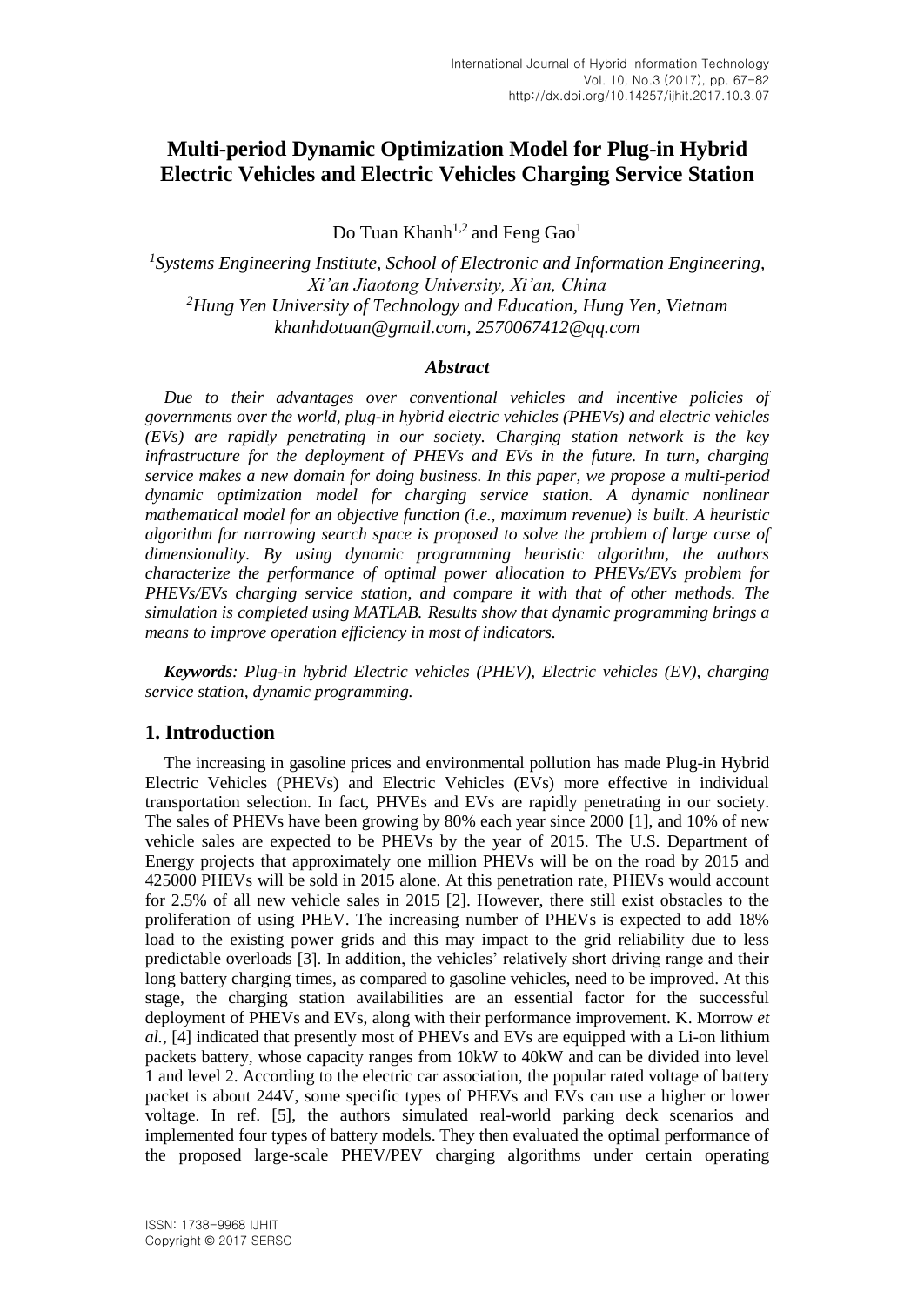# **Multi-period Dynamic Optimization Model for Plug-in Hybrid Electric Vehicles and Electric Vehicles Charging Service Station**

Do Tuan Khanh<sup>1,2</sup> and Feng Gao<sup>1</sup>

*1 Systems Engineering Institute, School of Electronic and Information Engineering, Xi'an Jiaotong University, Xi'an, China <sup>2</sup>Hung Yen University of Technology and Education, Hung Yen, Vietnam khanhdotuan@gmail.com, 2570067412@qq.com*

### *Abstract*

*Due to their advantages over conventional vehicles and incentive policies of governments over the world, plug-in hybrid electric vehicles (PHEVs) and electric vehicles (EVs) are rapidly penetrating in our society. Charging station network is the key infrastructure for the deployment of PHEVs and EVs in the future. In turn, charging service makes a new domain for doing business. In this paper, we propose a multi-period dynamic optimization model for charging service station. A dynamic nonlinear mathematical model for an objective function (i.e., maximum revenue) is built. A heuristic algorithm for narrowing search space is proposed to solve the problem of large curse of dimensionality. By using dynamic programming heuristic algorithm, the authors characterize the performance of optimal power allocation to PHEVs/EVs problem for PHEVs/EVs charging service station, and compare it with that of other methods. The simulation is completed using MATLAB. Results show that dynamic programming brings a means to improve operation efficiency in most of indicators.*

*Keywords: Plug-in hybrid Electric vehicles (PHEV), Electric vehicles (EV), charging service station, dynamic programming.*

## **1. Introduction**

The increasing in gasoline prices and environmental pollution has made Plug-in Hybrid Electric Vehicles (PHEVs) and Electric Vehicles (EVs) more effective in individual transportation selection. In fact, PHVEs and EVs are rapidly penetrating in our society. The sales of PHEVs have been growing by 80% each year since 2000 [1], and 10% of new vehicle sales are expected to be PHEVs by the year of 2015. The U.S. Department of Energy projects that approximately one million PHEVs will be on the road by 2015 and 425000 PHEVs will be sold in 2015 alone. At this penetration rate, PHEVs would account for 2.5% of all new vehicle sales in 2015 [2]. However, there still exist obstacles to the proliferation of using PHEV. The increasing number of PHEVs is expected to add 18% load to the existing power grids and this may impact to the grid reliability due to less predictable overloads [3]. In addition, the vehicles' relatively short driving range and their long battery charging times, as compared to gasoline vehicles, need to be improved. At this stage, the charging station availabilities are an essential factor for the successful deployment of PHEVs and EVs, along with their performance improvement. K. Morrow *et al.*, [4] indicated that presently most of PHEVs and EVs are equipped with a Li-on lithium packets battery, whose capacity ranges from 10kW to 40kW and can be divided into level 1 and level 2. According to the electric car association, the popular rated voltage of battery packet is about 244V, some specific types of PHEVs and EVs can use a higher or lower voltage. In ref. [5], the authors simulated real-world parking deck scenarios and implemented four types of battery models. They then evaluated the optimal performance of the proposed large-scale PHEV/PEV charging algorithms under certain operating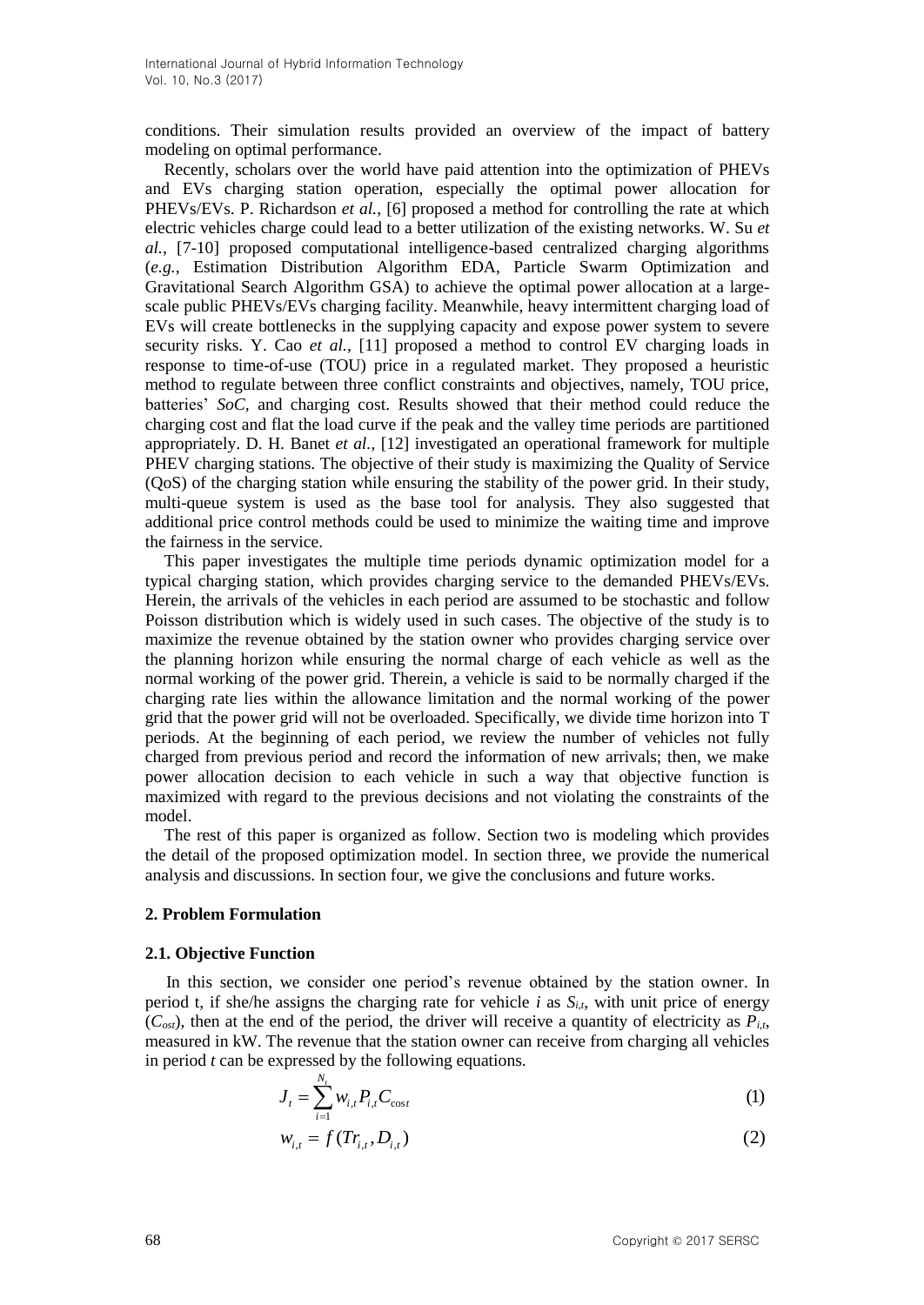conditions. Their simulation results provided an overview of the impact of battery modeling on optimal performance.

Recently, scholars over the world have paid attention into the optimization of PHEVs and EVs charging station operation, especially the optimal power allocation for PHEVs/EVs. P. Richardson *et al.*, [6] proposed a method for controlling the rate at which electric vehicles charge could lead to a better utilization of the existing networks. W. Su *et al.*, [7-10] proposed computational intelligence-based centralized charging algorithms (*e.g.*, Estimation Distribution Algorithm EDA, Particle Swarm Optimization and Gravitational Search Algorithm GSA) to achieve the optimal power allocation at a largescale public PHEVs/EVs charging facility. Meanwhile, heavy intermittent charging load of EVs will create bottlenecks in the supplying capacity and expose power system to severe security risks. Y. Cao *et al.*, [11] proposed a method to control EV charging loads in response to time-of-use (TOU) price in a regulated market. They proposed a heuristic method to regulate between three conflict constraints and objectives, namely, TOU price, batteries' *SoC,* and charging cost. Results showed that their method could reduce the charging cost and flat the load curve if the peak and the valley time periods are partitioned appropriately. D. H. Banet *et al.*, [12] investigated an operational framework for multiple PHEV charging stations. The objective of their study is maximizing the Quality of Service (QoS) of the charging station while ensuring the stability of the power grid. In their study, multi-queue system is used as the base tool for analysis. They also suggested that additional price control methods could be used to minimize the waiting time and improve the fairness in the service.

This paper investigates the multiple time periods dynamic optimization model for a typical charging station, which provides charging service to the demanded PHEVs/EVs. Herein, the arrivals of the vehicles in each period are assumed to be stochastic and follow Poisson distribution which is widely used in such cases. The objective of the study is to maximize the revenue obtained by the station owner who provides charging service over the planning horizon while ensuring the normal charge of each vehicle as well as the normal working of the power grid. Therein, a vehicle is said to be normally charged if the charging rate lies within the allowance limitation and the normal working of the power grid that the power grid will not be overloaded. Specifically, we divide time horizon into T periods. At the beginning of each period, we review the number of vehicles not fully charged from previous period and record the information of new arrivals; then, we make power allocation decision to each vehicle in such a way that objective function is maximized with regard to the previous decisions and not violating the constraints of the model.

The rest of this paper is organized as follow. Section two is modeling which provides the detail of the proposed optimization model. In section three, we provide the numerical analysis and discussions. In section four, we give the conclusions and future works.

#### **2. Problem Formulation**

#### **2.1. Objective Function**

In this section, we consider one period's revenue obtained by the station owner. In period t, if she/he assigns the charging rate for vehicle  $i$  as  $S_{i,t}$ , with unit price of energy  $(C<sub>ost</sub>)$ , then at the end of the period, the driver will receive a quantity of electricity as  $P_{i,t}$ , measured in kW. The revenue that the station owner can receive from charging all vehicles in period *t* can be expressed by the following equations.

$$
J_{t} = \sum_{i=1}^{N_{t}} w_{i,t} P_{i,t} C_{\cos t}
$$
 (1)

$$
w_{i,t} = f(Tr_{i,t}, D_{i,t})
$$
\n<sup>(2)</sup>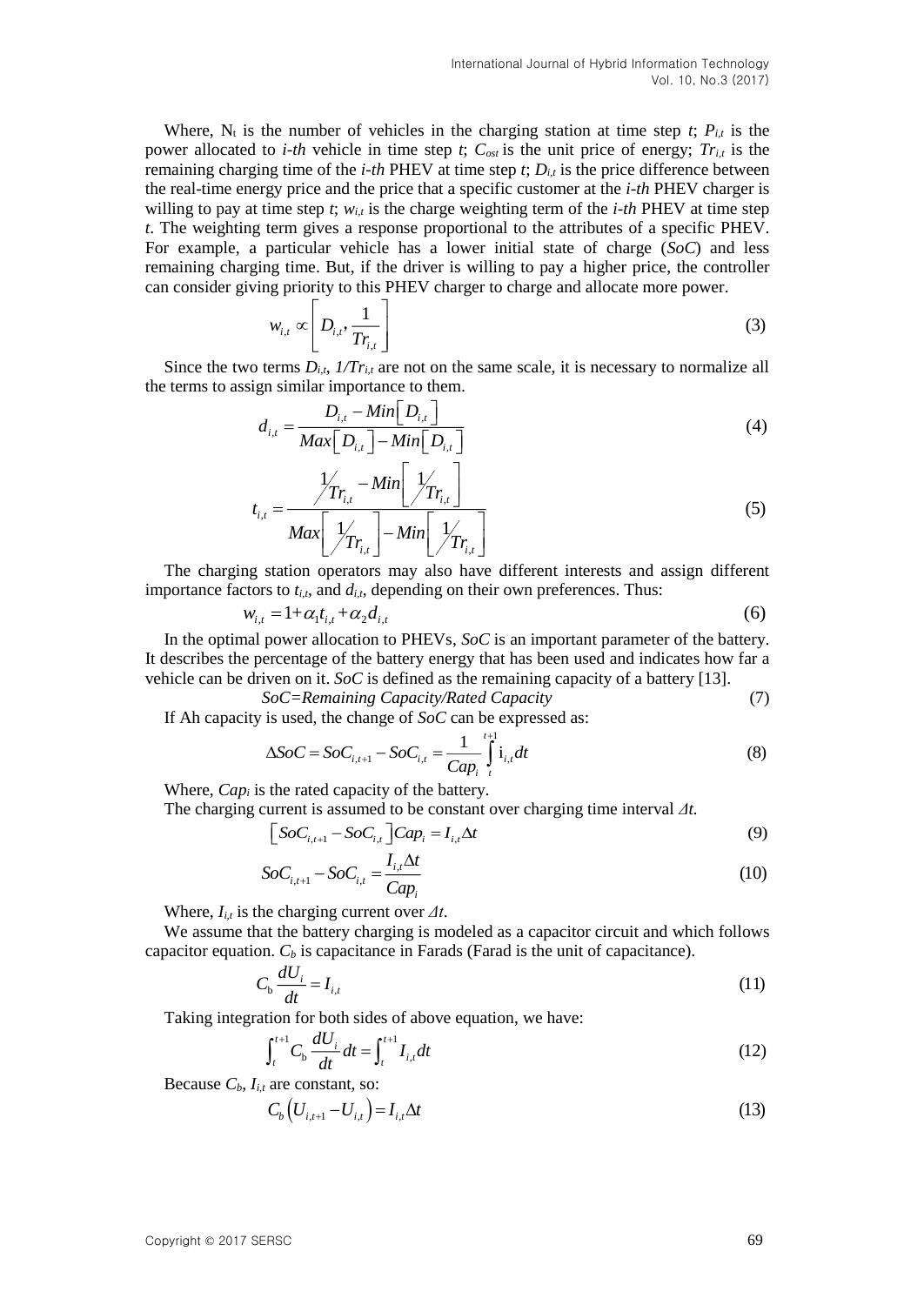Where,  $N_t$  is the number of vehicles in the charging station at time step *t*;  $P_{i,t}$  is the power allocated to *i-th* vehicle in time step *t*;  $C_{ost}$  is the unit price of energy;  $Tr_{i,t}$  is the remaining charging time of the *i-th* PHEV at time step *t*; *Di,t* is the price difference between the real-time energy price and the price that a specific customer at the *i-th* PHEV charger is willing to pay at time step  $t$ ;  $w_{i,t}$  is the charge weighting term of the *i-th* PHEV at time step *t*. The weighting term gives a response proportional to the attributes of a specific PHEV. For example, a particular vehicle has a lower initial state of charge (*SoC*) and less remaining charging time. But, if the driver is willing to pay a higher price, the controller can consider giving priority to this PHEV charger to charge and allocate more power.

$$
w_{i,t} \propto \left[ D_{i,t}, \frac{1}{Tr_{i,t}} \right] \tag{3}
$$

Since the two terms  $D_{i,t}$ ,  $1/T_{i,t}$  are not on the same scale, it is necessary to normalize all the terms to assign similar importance to them.

$$
d_{i,t} = \frac{D_{i,t} - Min[D_{i,t}]}{Max[D_{i,t}]-Min[D_{i,t}]} \tag{4}
$$

$$
t_{i,t} = \frac{\sqrt{\sum_{r_{i,t}} - Min\left[\frac{1}{\sqrt{\sum_{r_{i,t}}}}\right]}}{Max\left[\frac{1}{\sqrt{\sum_{r_{i,t}}}}\right] - Min\left[\frac{1}{\sqrt{\sum_{r_{i,t}}}}\right]}
$$
(5)

The charging station operators may also have different interests and assign different importance factors to  $t_{i,t}$ , and  $d_{i,t}$ , depending on their own preferences. Thus:

$$
w_{i,t} = 1 + \alpha_1 t_{i,t} + \alpha_2 d_{i,t}
$$
 (6)

In the optimal power allocation to PHEVs, *SoC* is an important parameter of the battery. It describes the percentage of the battery energy that has been used and indicates how far a vehicle can be driven on it. *SoC* is defined as the remaining capacity of a battery [13].

$$
SoC = \text{Remaining Capacity/Rated Capacity} \tag{7}
$$

If Ah capacity is used, the change of *SoC* can be expressed as:

$$
\Delta SoC = SoC_{i,t+1} - SoC_{i,t} = \frac{1}{Cap_i} \int_{t}^{t+1} \mathbf{i}_{i,t} dt
$$
 (8)

Where, *Cap<sub>i</sub>* is the rated capacity of the battery.

The charging current is assumed to be constant over charging time interval *Δt.*

$$
\[ SoC_{i,t+1} - SoC_{i,t} \] Cap_i = I_{i,t} \Delta t \tag{9}
$$

$$
SoC_{i,t+1} - SoC_{i,t} = \frac{I_{i,t}\Delta t}{Cap_i}
$$
\n
$$
(10)
$$

Where,  $I_{i,t}$  is the charging current over  $\Delta t$ .

We assume that the battery charging is modeled as a capacitor circuit and which follows capacitor equation. *C<sup>b</sup>* is capacitance in Farads (Farad is the unit of capacitance).

$$
C_{\rm b} \frac{dU_i}{dt} = I_{i,t} \tag{11}
$$

Taking integration for both sides of above equation, we have:

$$
\int_{t}^{t+1} C_{\rm b} \frac{dU_i}{dt} dt = \int_{t}^{t+1} I_{i,t} dt
$$
 (12)

Because  $C_b$ ,  $I_{i,t}$  are constant, so:

$$
C_b \left( U_{i,t+1} - U_{i,t} \right) = I_{i,t} \Delta t \tag{13}
$$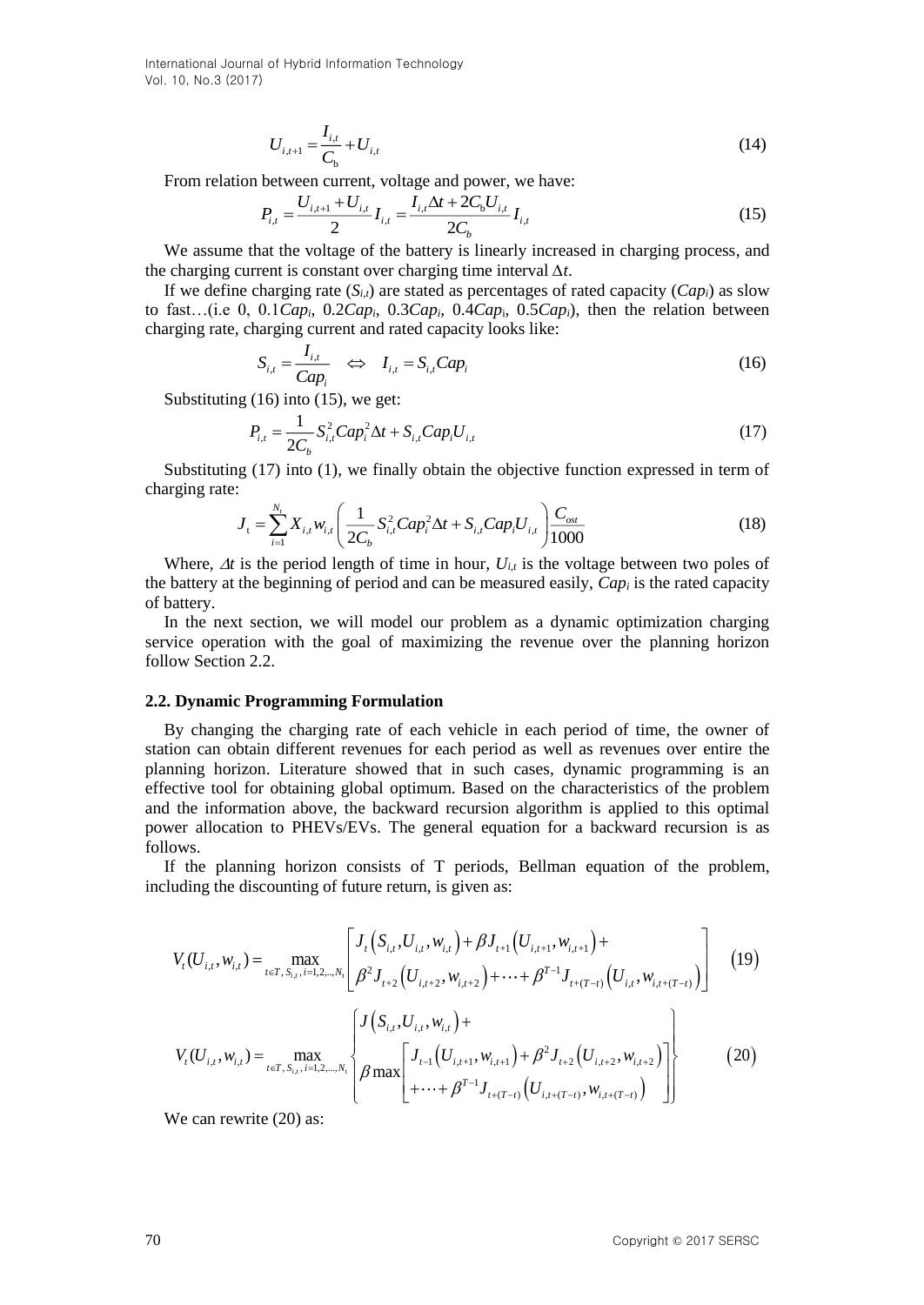$$
U_{i,t+1} = \frac{I_{i,t}}{C_{\rm b}} + U_{i,t}
$$
\n(14)

From relation between current, voltage and power, we have:

$$
P_{i,t} = \frac{U_{i,t+1} + U_{i,t}}{2} I_{i,t} = \frac{I_{i,t} \Delta t + 2C_b U_{i,t}}{2C_b} I_{i,t}
$$
(15)

We assume that the voltage of the battery is linearly increased in charging process, and the charging current is constant over charging time interval *∆t*.

If we define charging rate  $(S_{i,t})$  are stated as percentages of rated capacity  $(Cap_i)$  as slow to fast...(i.e 0, 0.1*Cap<sub>i</sub>*, 0.2*Cap<sub>i</sub>*, 0.3*Cap<sub>i</sub>*, 0.4*Cap<sub>i</sub>*, 0.5*Cap<sub>i</sub>*), then the relation between charging rate, charging current and rated capacity looks like:<br> $S_{i,t} = \frac{I_{i,t}}{Cap_i} \iff I_{i,t} = S_{i,t} Cap_i$  (16)

to fast... (i.e 0, 0.1*Cap<sub>i</sub>*, 0.2*Cap<sub>i</sub>*, 0.3*Cap<sub>i</sub>*, 0.4*Cap<sub>i</sub>*, 0.5*Cap<sub>i</sub>*), then the relation between charging rate, charging current and rated capacity looks like:  
\n
$$
S_{i,t} = \frac{I_{i,t}}{Cap_i} \iff I_{i,t} = S_{i,t}Cap_i
$$
\n(16)

Substituting (16) into (15), we get:

$$
P_{i,t} = \frac{1}{2C_b} S_{i,t}^2 C a p_i^2 \Delta t + S_{i,t} Cap_i U_{i,t}
$$
\n(17)

Substituting (17) into (1), we finally obtain the objective function expressed in term of charging rate:

$$
J_{t} = \sum_{i=1}^{N_{t}} X_{i,t} w_{i,t} \left( \frac{1}{2C_{b}} S_{i,t}^{2} Cap_{i}^{2} \Delta t + S_{i,t} Cap_{i} U_{i,t} \right) \frac{C_{ost}}{1000}
$$
(18)

Where,  $\Delta t$  is the period length of time in hour,  $U_{i,t}$  is the voltage between two poles of the battery at the beginning of period and can be measured easily, *Cap<sup>i</sup>* is the rated capacity of battery.

In the next section, we will model our problem as a dynamic optimization charging service operation with the goal of maximizing the revenue over the planning horizon follow Section 2.2.

#### **2.2. Dynamic Programming Formulation**

By changing the charging rate of each vehicle in each period of time, the owner of station can obtain different revenues for each period as well as revenues over entire the planning horizon. Literature showed that in such cases, dynamic programming is an effective tool for obtaining global optimum. Based on the characteristics of the problem and the information above, the backward recursion algorithm is applied to this optimal power allocation to PHEVs/EVs. The general equation for a backward recursion is as follows.

If the planning horizon consists of T periods, Bellman equation of the problem, including the discounting of future return, is given as:

$$
U_{i,i+1} = \frac{1}{C_b} + U_{i,i}
$$
 (14)  
\nFrom relation between current, voltage and power, we have:  
\n
$$
P_{i,j} = \frac{U_{i,j+1} + U_{i,j}}{2} I_{i,j} = \frac{I_{i,j}\Delta t + 2C_bU_{i,j}}{2C_b} I_{i,j}
$$
 (15)  
\nWe assume that the voltage of the battery is linearly increased in charging process, an  
\nthe charging current is constant over charging time interval  $\Delta t$ .  
\nIf we define charging rate ( $\delta_{ii}$ ) are stated as percentages of rated capacity ( $Cap$ ) as slow  
\nthe targeting rate, changing current and rated capacity looks like:  
\n
$$
S_{i,j} = \frac{I_{i,j}}{Cap_i} \iff I_{i,j} = S_{i,j}Cap_i
$$
 0.4 $Cap_i$  0.5 $Cap_i$ ), then the relation between  
\nchanging rate:  
\n
$$
S_{i,j} = \frac{I_{i,j}}{Cap_i} \iff I_{i,j} = S_{i,j}Cap_i^2\Delta t + S_{i,j}Cap_iU_{i,j}
$$
 (16)  
\nSubstituting (16) into (15), we get:  
\n
$$
P_{i,j} = \frac{1}{2C_a} S_{i,j}^2 Cap_i^2\Delta t + S_{i,j}Cap_iU_{i,j}
$$
 (17)  
\nSubstituting (17) into (1), we finally obtain the objective function expressed in term  
\nchanging rate:  
\n
$$
J_i = \sum_{i=1}^{N} X_{i,i}W_{i,j} \left( \frac{1}{2C_b} S_{i,j}^2 Cap_i^2\Delta t + S_{i,j}Cap_iU_{i,j} \right) \frac{C_{\text{min}}}{1000}
$$
 (18  
\nWhere,  $\Delta t$  is the period length of time in hour,  $U_{i,i}$  is the voltage between two poles of  
\nother  
\nof battery at the beginning of period and can be measured easily,  $Cap_i$  is the rated capacity  
\nin the next section, we will model our problem as a dynamic optimization charge  
\nof battery.  
\n22. Dynamic Programming Formulaation  
\nBy changing the charging rate of each vehicle in each period of time, the owner are the  
\nstation of anti-ferent revenues for each period as well as revenues over entire than  
\nplanning horizon. Literature showed that in such cases, dynamic programming is a  
\neffective tool for obtaining global optimum. Based on the characteristics of the problem  
\nand the information above, the backward recursion is a  
\n

We can rewrite  $(20)$  as: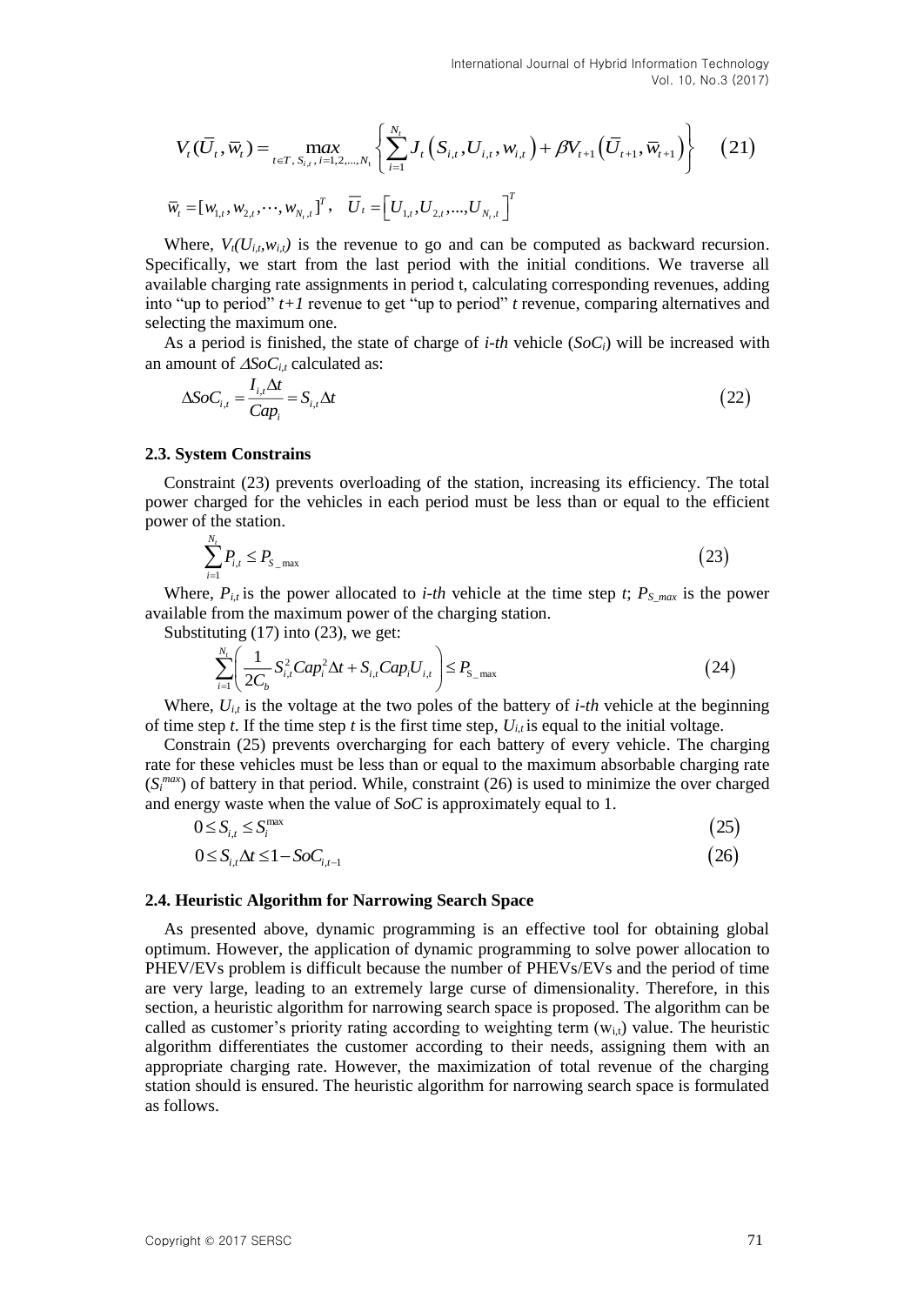$$
V_{t}(\overline{U}_{t}, \overline{w}_{t}) = \max_{t \in T, S_{i,t}, i=1,2,\dots,N_{t}} \left\{ \sum_{i=1}^{N_{t}} J_{t} \left( S_{i,t}, U_{i,t}, w_{i,t} \right) + \beta V_{t+1} \left( \overline{U}_{t+1}, \overline{w}_{t+1} \right) \right\} \tag{21}
$$
  

$$
\overline{w}_{t} = [w_{1,t}, w_{2,t}, \dots, w_{N_{t},t}]^{T}, \quad \overline{U}_{t} = \left[ U_{1,t}, U_{2,t}, \dots, U_{N_{t},t} \right]^{T}
$$

Where,  $V_t(U_{i,t}, w_{i,t})$  is the revenue to go and can be computed as backward recursion. Specifically, we start from the last period with the initial conditions. We traverse all available charging rate assignments in period t, calculating corresponding revenues, adding into "up to period" *t+1* revenue to get "up to period" *t* revenue, comparing alternatives and selecting the maximum one.

As a period is finished, the state of charge of *i-th* vehicle ( $S_0C_i$ ) will be increased with an amount of  $\triangle SOC_{i,t}$  calculated as:

$$
\Delta SoC_{i,t} = \frac{I_{i,t}\Delta t}{Cap_i} = S_{i,t}\Delta t
$$
\n(22)

#### **2.3. System Constrains**

Constraint (23) prevents overloading of the station, increasing its efficiency. The total power charged for the vehicles in each period must be less than or equal to the efficient power of the station.

$$
\sum_{i=1}^{N_t} P_{i,t} \le P_{S_{\text{max}}} \tag{23}
$$

Where,  $P_{i,t}$  is the power allocated to *i-th* vehicle at the time step *t*;  $P_{S,max}$  is the power available from the maximum power of the charging station.

Substituting (17) into (23), we get:

$$
\sum_{i=1}^{N_t} \left( \frac{1}{2C_b} S_{i,t}^2 C a p_i^2 \Delta t + S_{i,t} C a p_i U_{i,t} \right) \le P_{\text{S\_max}} \tag{24}
$$

Where,  $U_{i,t}$  is the voltage at the two poles of the battery of *i-th* vehicle at the beginning of time step *t*. If the time step *t* is the first time step,  $U_{i,t}$  is equal to the initial voltage.

Constrain (25) prevents overcharging for each battery of every vehicle. The charging rate for these vehicles must be less than or equal to the maximum absorbable charging rate  $(S<sub>i</sub><sup>max</sup>)$  of battery in that period. While, constraint (26) is used to minimize the over charged and energy waste when the value of *SoC* is approximately equal to 1.

$$
0 \le S_{i,t} \le S_i^{\max} \tag{25}
$$
  
 
$$
0 \le S_{i,t} \Delta t \le 1 - SoC_{i,t-1} \tag{26}
$$

#### **2.4. Heuristic Algorithm for Narrowing Search Space**

 $V_r(\vec{G}, \vec{w}_i) = \max_{i=1, i \ldots, m_i} \sum_{i=1}^{m_i} I_r(\vec{S}_{i}, U_{i,1}, w_{i,1}) + \beta V_{i,1}(\vec{G}_{i,1}, \vec{w}_{i,1}) \}$ (21)<br>  $\vec{v}_i = [w_{i,1}, w_{i,1}, \cdots, w_{i,n}]$ .  $\vec{U}_i = [U_{i,1}, U_{i,1}, \ldots, U_{i,n}]$ <br>
Weigne,  $V(\vec{G}, \vec{w}_i) = [w_{i,1}, w_{i,1}, \cdots, w_{i,n}]$ .  $\vec{U}_i =$ As presented above, dynamic programming is an effective tool for obtaining global optimum. However, the application of dynamic programming to solve power allocation to PHEV/EVs problem is difficult because the number of PHEVs/EVs and the period of time are very large, leading to an extremely large curse of dimensionality. Therefore, in this section, a heuristic algorithm for narrowing search space is proposed. The algorithm can be called as customer's priority rating according to weighting term  $(w_{i,t})$  value. The heuristic algorithm differentiates the customer according to their needs, assigning them with an appropriate charging rate. However, the maximization of total revenue of the charging station should is ensured. The heuristic algorithm for narrowing search space is formulated as follows.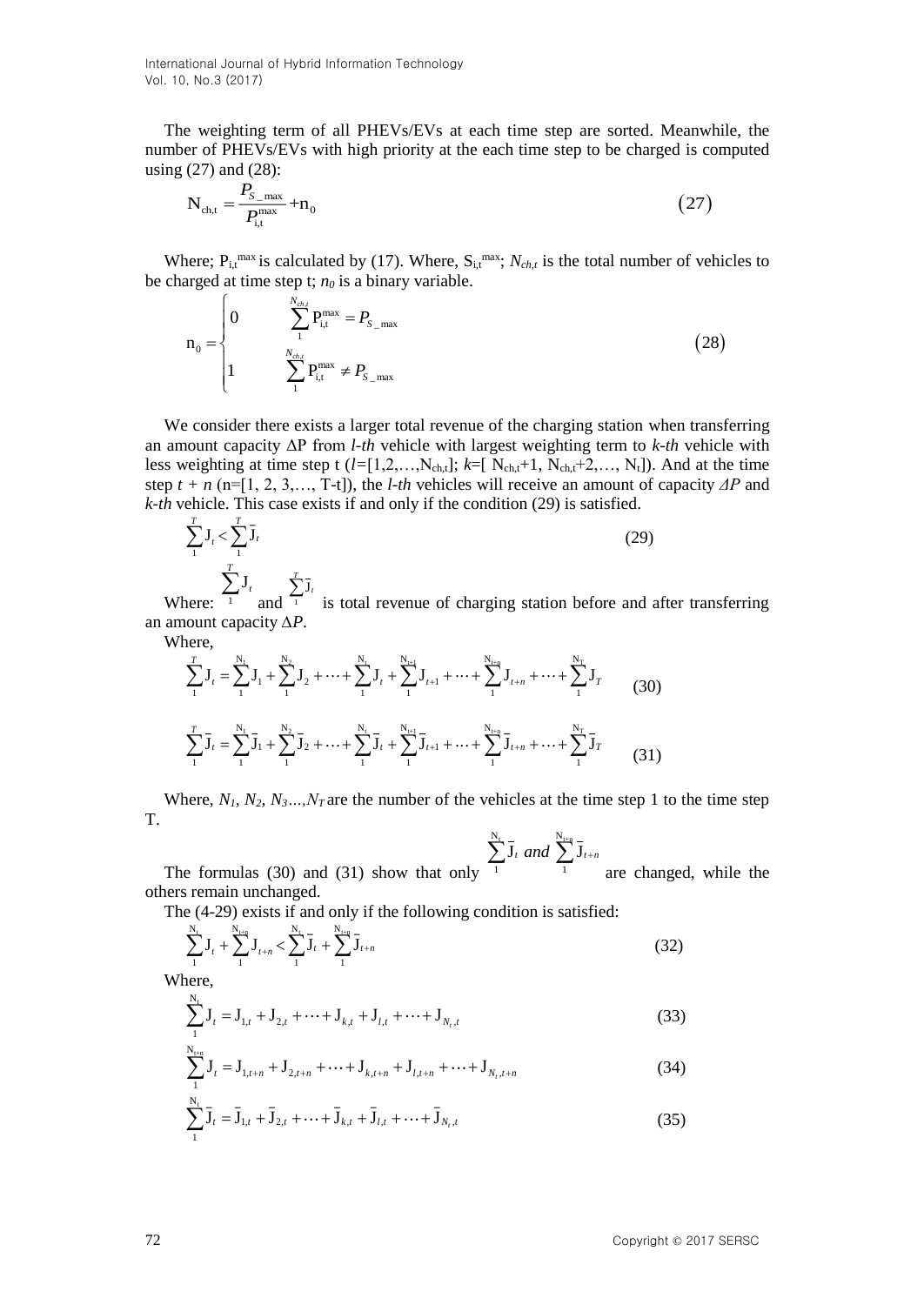*N*

The weighting term of all PHEVs/EVs at each time step are sorted. Meanwhile, the number of PHEVs/EVs with high priority at the each time step to be charged is computed using (27) and (28):

$$
N_{ch,t} = \frac{P_{S_{max}}}{P_{i,t}} + n_0
$$
 (27)

Where;  $P_{i,t}^{max}$  is calculated by (17). Where,  $S_{i,t}^{max}$ ;  $N_{ch,t}$  is the total number of vehicles to be charged at time step t;  $n_0$  is a binary variable.  $\epsilon$ 

$$
n_0 = \begin{cases} 0 & \sum_{i}^{N_{ch,l}} P_{i,t}^{\max} = P_{S_{\max}} \\ 1 & \sum_{i}^{N_{ch,l}} P_{i,t}^{\max} \neq P_{S_{\max}} \end{cases}
$$
(28)

We consider there exists a larger total revenue of the charging station when transferring an amount capacity ΔP from *l-th* vehicle with largest weighting term to *k-th* vehicle with less weighting at time step t  $(l=[1,2,\ldots,N_{ch,t}]; k=[N_{ch,t}+1, N_{ch,t}+2,\ldots,N_t])$ . And at the time step *t + n* (n=[1, 2, 3,…, T-t]), the *l-th* vehicles will receive an amount of capacity *ΔP* and *k-th* vehicle. This case exists if and only if the condition (29) is satisfied.

$$
\sum_{i=1}^{T} \mathbf{J}_i < \sum_{i=1}^{T} \bar{\mathbf{J}}_i \tag{29}
$$
\n
$$
\sum_{i=1}^{T} \mathbf{J}_i \qquad \sum_{i=1}^{T} \bar{\mathbf{J}}_i
$$

Where: <sup>1</sup> and  $\sum_{i=1}^{T} \overline{J}_i$ is total revenue of charging station before and after transferring an amount capacity *∆P*.

Where,

$$
\sum_{1}^{T} \mathbf{J}_{t} = \sum_{1}^{N_{1}} \mathbf{J}_{1} + \sum_{1}^{N_{2}} \mathbf{J}_{2} + \dots + \sum_{1}^{N_{t}} \mathbf{J}_{t} + \sum_{1}^{N_{t+1}} \mathbf{J}_{t+1} + \dots + \sum_{1}^{N_{t+n}} \mathbf{J}_{t+n} + \dots + \sum_{1}^{N_{T}} \mathbf{J}_{T}
$$
\n(30)\n
$$
\sum_{1}^{T} \mathbf{J}_{t} = \sum_{1}^{N_{1}} \mathbf{J}_{1} + \sum_{1}^{N_{2}} \mathbf{J}_{2} + \dots + \sum_{1}^{N_{t}} \mathbf{J}_{t} + \sum_{1}^{N_{t+1}} \mathbf{J}_{t+1} + \dots + \sum_{1}^{N_{t+n}} \mathbf{J}_{t+n} + \dots + \sum_{1}^{N_{T}} \mathbf{J}_{T}
$$
\n(31)

Where,  $N_1, N_2, N_3, \ldots, N_T$  are the number of the vehicles at the time step 1 to the time step T.

$$
\sum_{i=1}^{N_t} \overline{\mathbf{J}}_t \text{ and } \sum_{i=1}^{N_{t+n}} \overline{\mathbf{J}}_{t+n}
$$

The formulas (30) and (31) show that only 1 1 are changed, while the others remain unchanged.

The (4-29) exists if and only if the following condition is satisfied:

$$
\sum_{1}^{N_{t}} J_{t} + \sum_{1}^{N_{t+n}} J_{t+n} < \sum_{1}^{N_{t}} \bar{J}_{t} + \sum_{1}^{N_{t+n}} \bar{J}_{t+n}
$$
(32)

Where,

$$
\sum_{1}^{N_t} J_t = J_{1,t} + J_{2,t} + \dots + J_{k,t} + J_{l,t} + \dots + J_{N_t,t}
$$
\n(33)

$$
\sum_{1}^{N_{\text{ten}}} \mathbf{J}_{t} = \mathbf{J}_{1,t+n} + \mathbf{J}_{2,t+n} + \dots + \mathbf{J}_{k,t+n} + \mathbf{J}_{l,t+n} + \dots + \mathbf{J}_{N_{t},t+n}
$$
(34)

$$
\sum_{1}^{N_{t}} \bar{J}_{t} = \bar{J}_{1,t} + \bar{J}_{2,t} + \dots + \bar{J}_{k,t} + \bar{J}_{l,t} + \dots + \bar{J}_{N_{t},t}
$$
\n(35)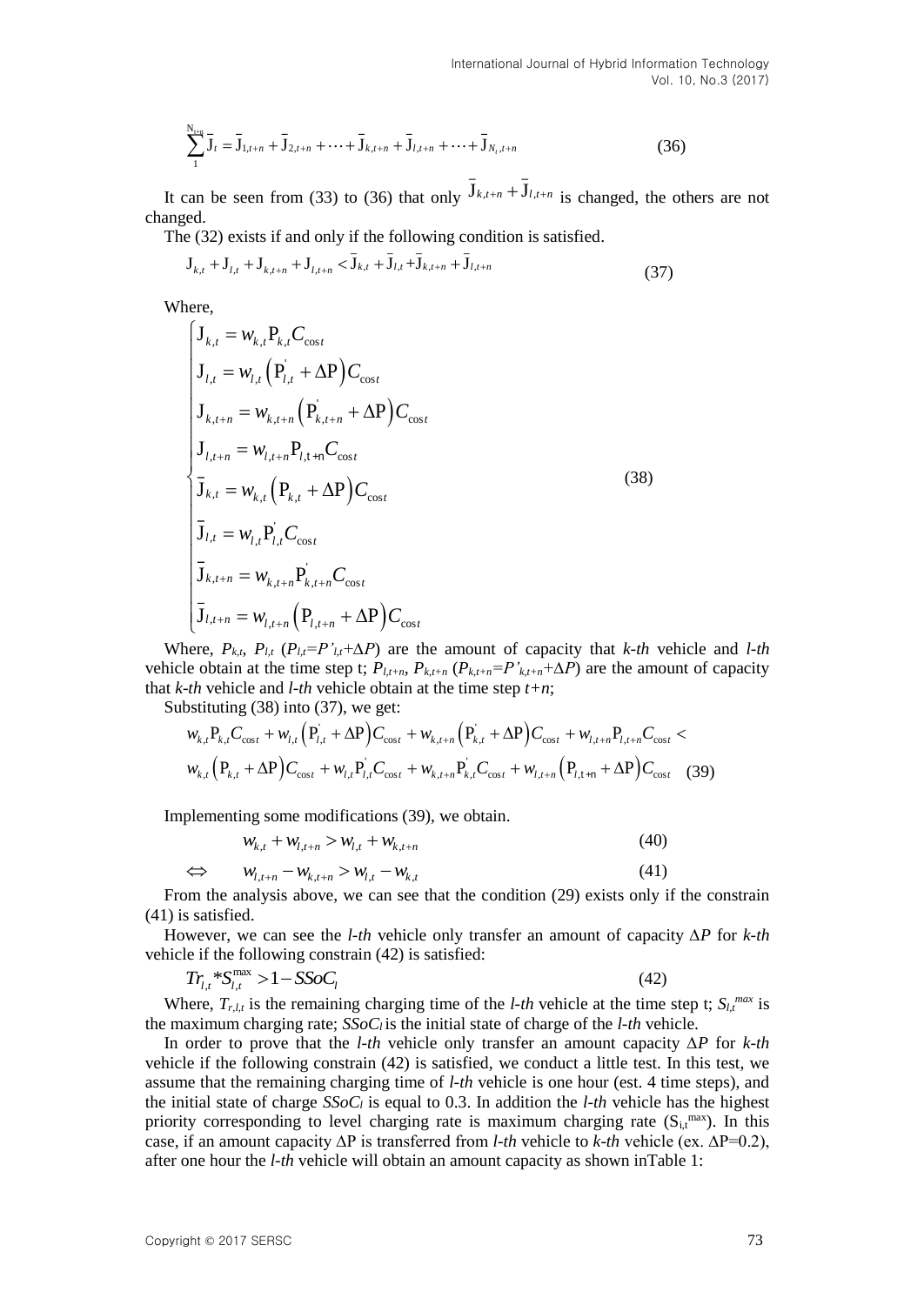$$
\sum_{1}^{N_{\text{ten}}} \bar{J}_t = \bar{J}_{1,t+n} + \bar{J}_{2,t+n} + \dots + \bar{J}_{k,t+n} + \bar{J}_{l,t+n} + \dots + \bar{J}_{N_t,t+n}
$$
(36)

It can be seen from (33) to (36) that only  $J_{k,t+n} + J_{l,t+n}$  is changed, the others are not changed.

The (32) exists if and only if the following condition is satisfied.

$$
\mathbf{J}_{k,t} + \mathbf{J}_{l,t} + \mathbf{J}_{k,t+n} + \mathbf{J}_{l,t+n} < \bar{\mathbf{J}}_{k,t} + \bar{\mathbf{J}}_{l,t} + \bar{\mathbf{J}}_{k,t+n} + \bar{\mathbf{J}}_{l,t+n} \tag{37}
$$

Where,

$$
\begin{cases}\n\mathbf{J}_{k,t} = w_{k,t} \mathbf{P}_{k,t} C_{\text{cost}} \\
\mathbf{J}_{l,t} = w_{l,t} (\mathbf{P}_{l,t} + \Delta \mathbf{P}) C_{\text{cost}} \\
\mathbf{J}_{k,t+n} = w_{k,t+n} (\mathbf{P}_{k,t+n} + \Delta \mathbf{P}) C_{\text{cost}} \\
\mathbf{J}_{l,t+n} = w_{l,t+n} \mathbf{P}_{l,t+n} C_{\text{cost}} \\
\overline{\mathbf{J}}_{k,t} = w_{k,t} (\mathbf{P}_{k,t} + \Delta \mathbf{P}) C_{\text{cost}} \\
\overline{\mathbf{J}}_{l,t} = w_{l,t} \mathbf{P}_{l,t} C_{\text{cost}} \\
\overline{\mathbf{J}}_{k,t+n} = w_{k,t+n} \mathbf{P}_{k,t+n} C_{\text{cost}} \\
\overline{\mathbf{J}}_{l,t+n} = w_{l,t+n} (\mathbf{P}_{l,t+n} + \Delta \mathbf{P}) C_{\text{cost}}\n\end{cases}
$$
\n(38)

Where,  $P_{k,t}$ ,  $P_{l,t}$  ( $P_{l,t} = P'_{l,t} + \Delta P$ ) are the amount of capacity that *k-th* vehicle and *l-th* vehicle obtain at the time step t;  $P_{l,t+n}$ ,  $P_{k,t+n}$ ,  $(P_{k,t+n} = P'_{k,t+n} + \Delta P)$  are the amount of capacity that *k-th* vehicle and *l-th* vehicle obtain at the time step *t+n*;

Substituting (38) into (37), we get:

$$
w_{k,t}P_{k,t}C_{\cos t} + w_{l,t}\left(P_{l,t} + \Delta P\right)C_{\cos t} + w_{k,t+n}\left(P_{k,t} + \Delta P\right)C_{\cos t} + w_{l,t+n}P_{l,t+n}C_{\cos t} w_{k,t}\left(P_{k,t} + \Delta P\right)C_{\cos t} + w_{l,t}P_{l,t}C_{\cos t} + w_{k,t+n}P_{k,t}C_{\cos t} + w_{l,t+n}\left(P_{l,t+n} + \Delta P\right)C_{\cos t}
$$
(39)

Implementing some modifications (39), we obtain.

$$
w_{k,t} + w_{l,t+n} > w_{l,t} + w_{k,t+n}
$$
\n(40)

$$
\Leftrightarrow \qquad w_{l,t+n} - w_{k,t+n} > w_{l,t} - w_{k,t} \tag{41}
$$

From the analysis above, we can see that the condition (29) exists only if the constrain (41) is satisfied.

However, we can see the *l-th* vehicle only transfer an amount of capacity *∆P* for *k-th* vehicle if the following constrain (42) is satisfied:

$$
Tr_{l,t} \,^* S_{l,t}^{\text{max}} > 1 - S \text{Soc}_l \tag{42}
$$

Where,  $T_{r,l,t}$  is the remaining charging time of the *l-th* vehicle at the time step t;  $S_l$ <sup>*max*</sup> is the maximum charging rate; *SSoCl* is the initial state of charge of the *l-th* vehicle.

In order to prove that the *l-th* vehicle only transfer an amount capacity *∆P* for *k-th* vehicle if the following constrain (42) is satisfied, we conduct a little test. In this test, we assume that the remaining charging time of *l-th* vehicle is one hour (est. 4 time steps), and the initial state of charge  $SSoC_l$  is equal to 0.3. In addition the *l-th* vehicle has the highest priority corresponding to level charging rate is maximum charging rate  $(S_{i,t}^{max})$ . In this case, if an amount capacity ∆P is transferred from *l-th* vehicle to *k-th* vehicle (ex. ∆P=0.2), after one hour the *l-th* vehicle will obtain an amount capacity as shown inTable 1: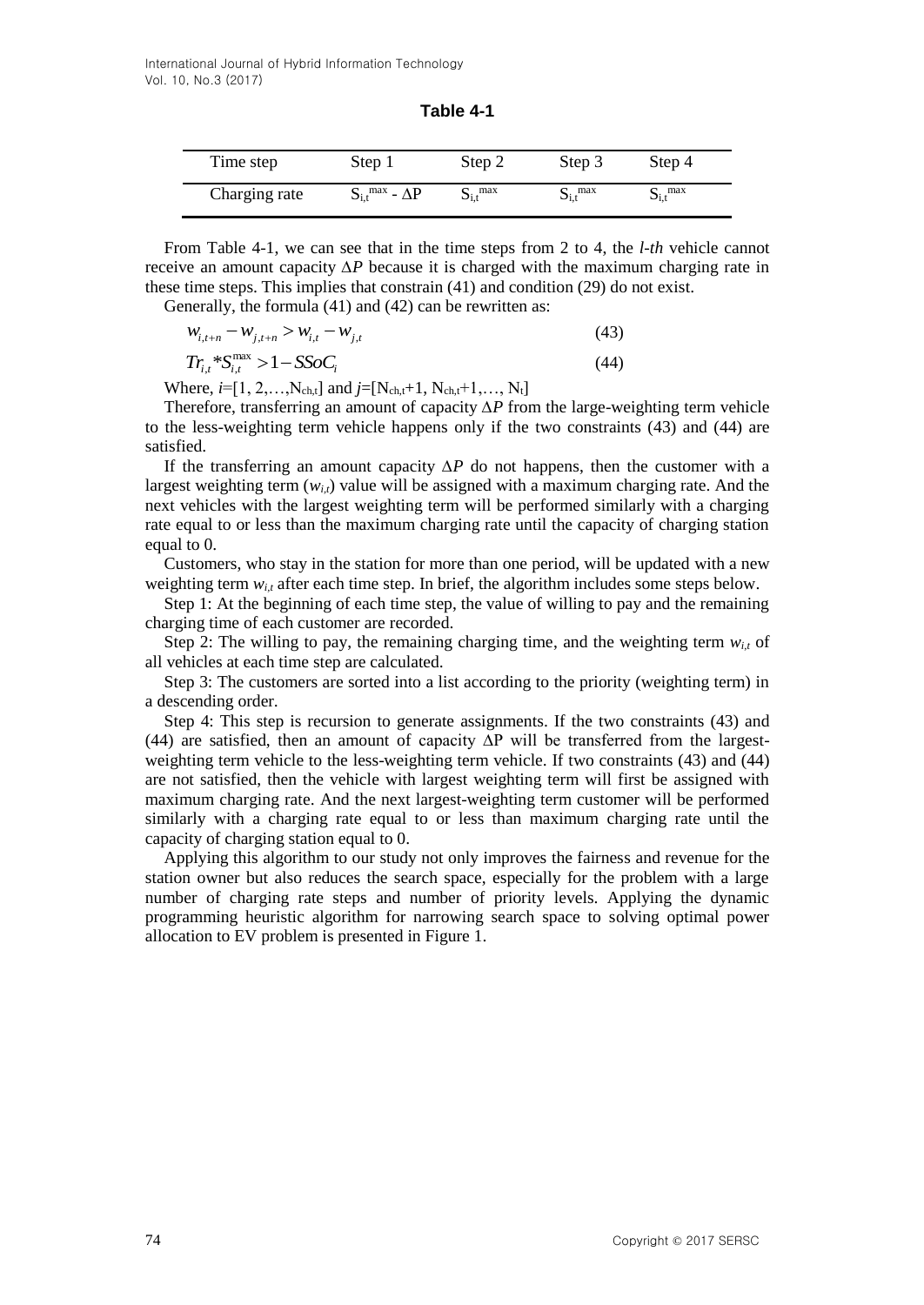| Table 4-1 |  |
|-----------|--|
|-----------|--|

| Time step     | Step 1                                | Step 2                   | Step 3                   | Step 4                   |
|---------------|---------------------------------------|--------------------------|--------------------------|--------------------------|
| Charging rate | $S_{i,t}$ <sup>max</sup> - $\Delta P$ | $S_{i,t}$ <sup>max</sup> | $S_{i,t}$ <sup>max</sup> | $S_{i,t}$ <sup>max</sup> |

From Table 4-1, we can see that in the time steps from 2 to 4, the *l-th* vehicle cannot receive an amount capacity *∆P* because it is charged with the maximum charging rate in these time steps. This implies that constrain (41) and condition (29) do not exist.

Generally, the formula (41) and (42) can be rewritten as:

$$
W_{i,t+n} - W_{j,t+n} > W_{i,t} - W_{j,t} \tag{43}
$$

$$
Tr_{i,t} * S_{i,t}^{\text{max}} > 1 - SSoC_i \tag{44}
$$

Where,  $i=[1, 2, \ldots, N_{ch,t}]$  and  $j=[N_{ch,t}+1, N_{ch,t}+1, \ldots, N_t]$ 

Therefore, transferring an amount of capacity *∆P* from the large-weighting term vehicle to the less-weighting term vehicle happens only if the two constraints (43) and (44) are satisfied.

If the transferring an amount capacity *∆P* do not happens, then the customer with a largest weighting term  $(w_{i,t})$  value will be assigned with a maximum charging rate. And the next vehicles with the largest weighting term will be performed similarly with a charging rate equal to or less than the maximum charging rate until the capacity of charging station equal to 0.

Customers, who stay in the station for more than one period, will be updated with a new weighting term *wi,t* after each time step. In brief, the algorithm includes some steps below.

Step 1: At the beginning of each time step, the value of willing to pay and the remaining charging time of each customer are recorded.

Step 2: The willing to pay, the remaining charging time, and the weighting term  $w_{i,t}$  of all vehicles at each time step are calculated.

Step 3: The customers are sorted into a list according to the priority (weighting term) in a descending order.

Step 4: This step is recursion to generate assignments. If the two constraints (43) and (44) are satisfied, then an amount of capacity ∆P will be transferred from the largestweighting term vehicle to the less-weighting term vehicle. If two constraints (43) and (44) are not satisfied, then the vehicle with largest weighting term will first be assigned with maximum charging rate. And the next largest-weighting term customer will be performed similarly with a charging rate equal to or less than maximum charging rate until the capacity of charging station equal to 0.

Applying this algorithm to our study not only improves the fairness and revenue for the station owner but also reduces the search space, especially for the problem with a large number of charging rate steps and number of priority levels. Applying the dynamic programming heuristic algorithm for narrowing search space to solving optimal power allocation to EV problem is presented in Figure 1.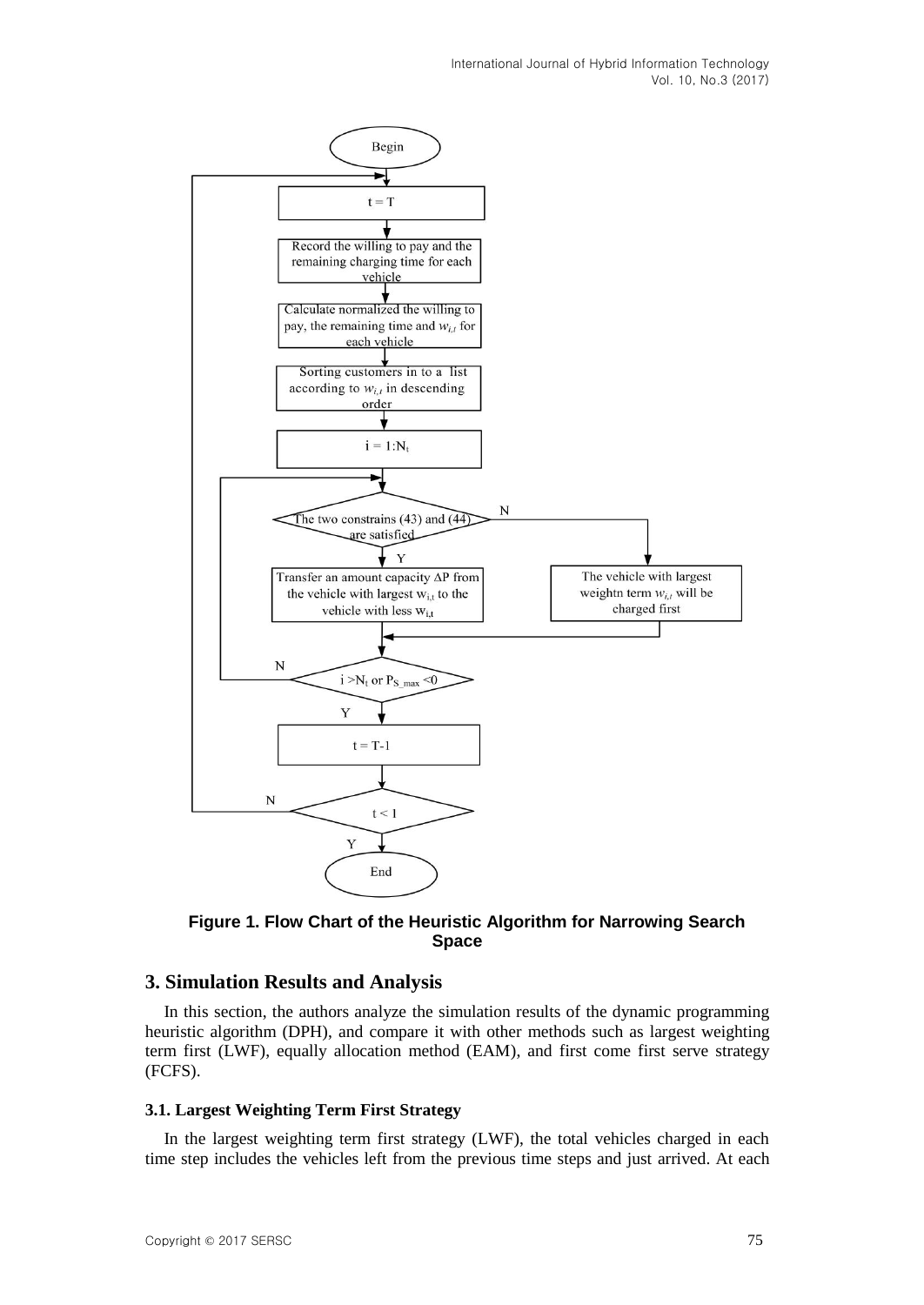

**Figure 1. Flow Chart of the Heuristic Algorithm for Narrowing Search Space**

## **3. Simulation Results and Analysis**

In this section, the authors analyze the simulation results of the dynamic programming heuristic algorithm (DPH), and compare it with other methods such as largest weighting term first (LWF), equally allocation method (EAM), and first come first serve strategy (FCFS).

## **3.1. Largest Weighting Term First Strategy**

In the largest weighting term first strategy (LWF), the total vehicles charged in each time step includes the vehicles left from the previous time steps and just arrived. At each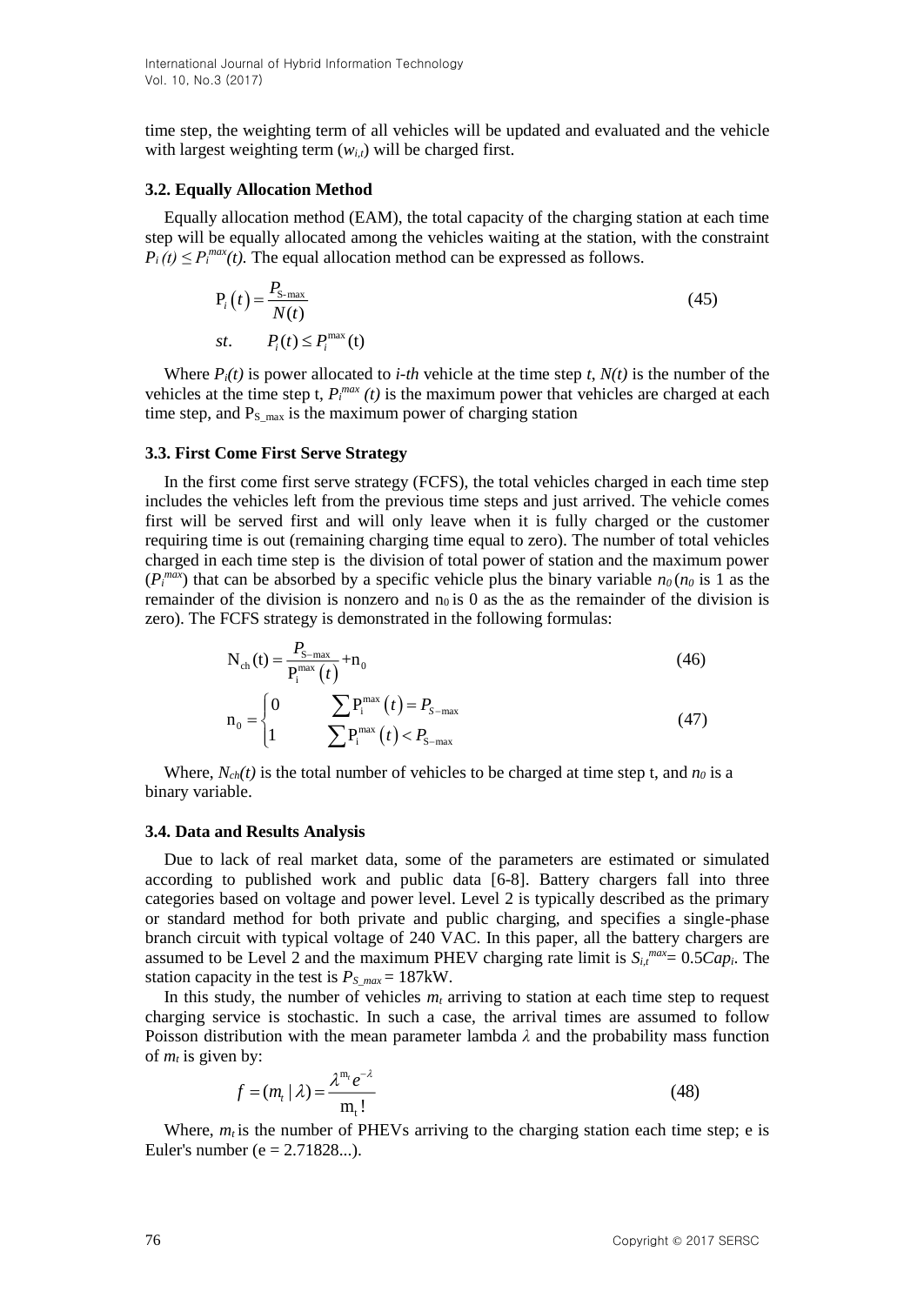time step, the weighting term of all vehicles will be updated and evaluated and the vehicle with largest weighting term  $(w_{i,t})$  will be charged first.

#### **3.2. Equally Allocation Method**

Equally allocation method (EAM), the total capacity of the charging station at each time step will be equally allocated among the vehicles waiting at the station, with the constraint  $P_i(t) \leq P_i^{max}(t)$ . The equal allocation method can be expressed as follows.

$$
P_i(t) = \frac{P_{\text{S-max}}}{N(t)}
$$
  
st.  $P_i(t) \le P_i^{\text{max}}(t)$  (45)

Where  $P_i(t)$  is power allocated to *i-th* vehicle at the time step *t*,  $N(t)$  is the number of the vehicles at the time step t,  $P_i^{max}(t)$  is the maximum power that vehicles are charged at each time step, and  $P_s$  max is the maximum power of charging station

#### **3.3. First Come First Serve Strategy**

In the first come first serve strategy (FCFS), the total vehicles charged in each time step includes the vehicles left from the previous time steps and just arrived. The vehicle comes first will be served first and will only leave when it is fully charged or the customer requiring time is out (remaining charging time equal to zero). The number of total vehicles charged in each time step is the division of total power of station and the maximum power  $(P_i^{max})$  that can be absorbed by a specific vehicle plus the binary variable  $n_0$  ( $n_0$  is 1 as the remainder of the division is nonzero and  $n_0$  is 0 as the as the remainder of the division is zero). The FCFS strategy is demonstrated in the following formulas:

$$
N_{ch}(t) = \frac{P_{s-max}}{P_i^{max}(t)} + n_0
$$
\n(46)

$$
n_0 = \begin{cases} 0 & \sum P_i^{\max}(t) = P_{s-\max} \\ 1 & \sum P_i^{\max}(t) < P_{s-\max} \end{cases}
$$
(47)

Where,  $N_{ch}(t)$  is the total number of vehicles to be charged at time step t, and  $n_0$  is a binary variable.

#### **3.4. Data and Results Analysis**

Due to lack of real market data, some of the parameters are estimated or simulated according to published work and public data [6-8]. Battery chargers fall into three categories based on voltage and power level. Level 2 is typically described as the primary or standard method for both private and public charging, and specifies a single-phase branch circuit with typical voltage of 240 VAC. In this paper, all the battery chargers are assumed to be Level 2 and the maximum PHEV charging rate limit is  $S_{i,t}^{max} = 0.5Cap_i$ . The station capacity in the test is  $P_{S,max} = 187$ kW.

In this study, the number of vehicles *m<sup>t</sup>* arriving to station at each time step to request charging service is stochastic. In such a case, the arrival times are assumed to follow Poisson distribution with the mean parameter lambda  $\lambda$  and the probability mass function of  $m_t$  is given by:<br>  $f = (m_t | \lambda) = \frac{\lambda^{m_t} e^{-\lambda}}{m}$  (48) of  $m_t$  is given by:<br> $f = (m_t)$ 

by:  
\n
$$
f = (m_t | \lambda) = \frac{\lambda^{m_t} e^{-\lambda}}{m_t!}
$$
\n(48)

Where,  $m_t$  is the number of PHEVs arriving to the charging station each time step; e is Euler's number ( $e = 2.71828...$ ).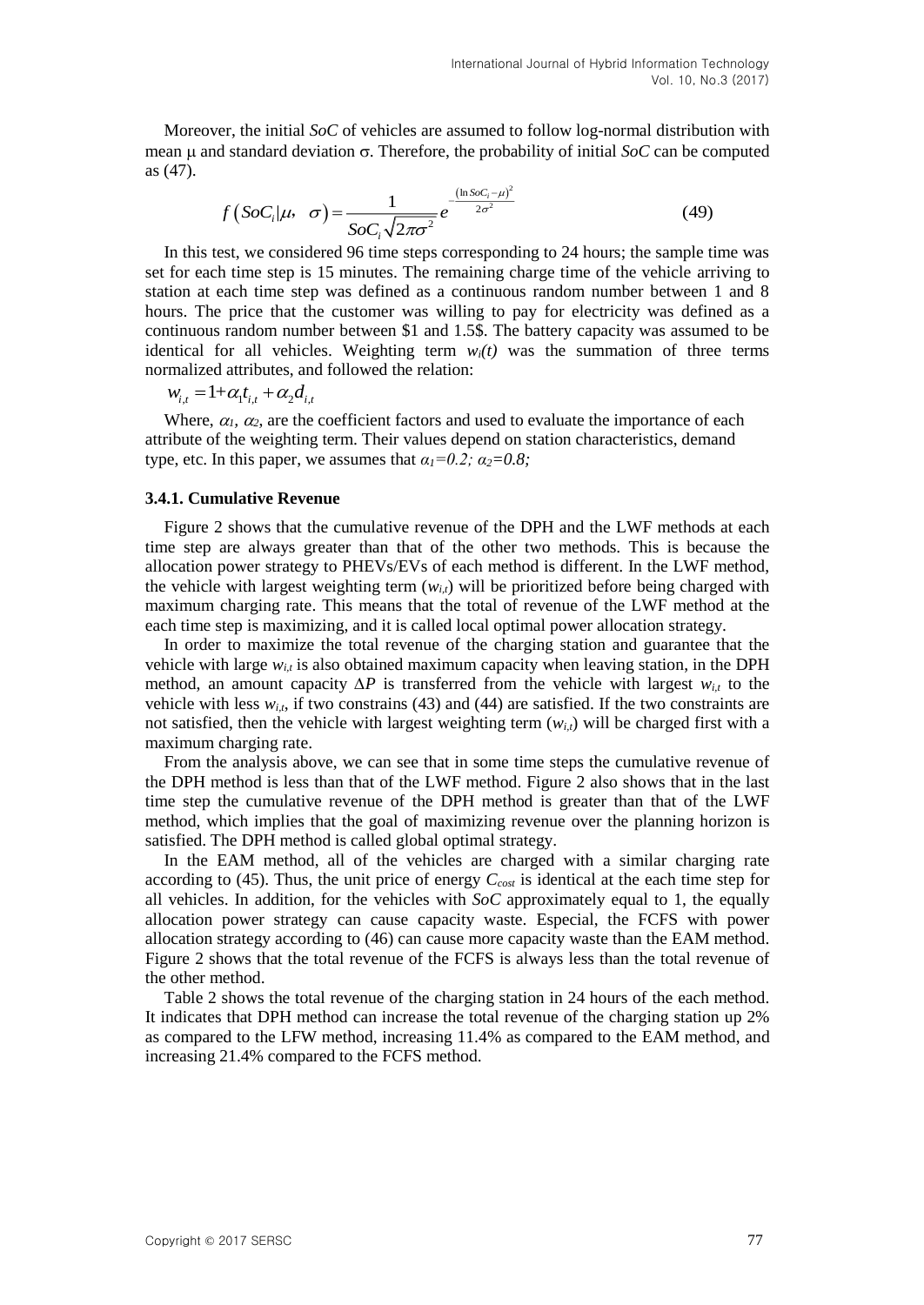Moreover, the initial *SoC* of vehicles are assumed to follow log-normal distribution with mean  $\mu$  and standard deviation  $\sigma$ . Therefore, the probability of initial *SoC* can be computed as (47).

$$
f\left(SoC_i|\mu,\ \sigma\right) = \frac{1}{SoC_i\sqrt{2\pi\sigma^2}}e^{-\frac{\left(\ln SoC_i-\mu\right)^2}{2\sigma^2}}
$$
(49)

In this test, we considered 96 time steps corresponding to 24 hours; the sample time was set for each time step is 15 minutes. The remaining charge time of the vehicle arriving to station at each time step was defined as a continuous random number between 1 and 8 hours. The price that the customer was willing to pay for electricity was defined as a continuous random number between \$1 and 1.5\$. The battery capacity was assumed to be identical for all vehicles. Weighting term  $w_i(t)$  was the summation of three terms normalized attributes, and followed the relation:

 $w_{i,t} = 1 + \alpha_1 t_{i,t} + \alpha_2 d_{i,t}$ 

Where,  $\alpha_l$ ,  $\alpha_2$ , are the coefficient factors and used to evaluate the importance of each attribute of the weighting term. Their values depend on station characteristics, demand type, etc. In this paper, we assumes that  $\alpha_1 = 0.2$ ;  $\alpha_2 = 0.8$ ;

#### **3.4.1. Cumulative Revenue**

Figure 2 shows that the cumulative revenue of the DPH and the LWF methods at each time step are always greater than that of the other two methods. This is because the allocation power strategy to PHEVs/EVs of each method is different. In the LWF method, the vehicle with largest weighting term  $(w_i)$  will be prioritized before being charged with maximum charging rate. This means that the total of revenue of the LWF method at the each time step is maximizing, and it is called local optimal power allocation strategy.

In order to maximize the total revenue of the charging station and guarantee that the vehicle with large  $w_{i,t}$  is also obtained maximum capacity when leaving station, in the DPH method, an amount capacity *∆P* is transferred from the vehicle with largest *wi,t* to the vehicle with less  $w_{i,t}$ , if two constrains (43) and (44) are satisfied. If the two constraints are not satisfied, then the vehicle with largest weighting term (*wi,t*) will be charged first with a maximum charging rate.

From the analysis above, we can see that in some time steps the cumulative revenue of the DPH method is less than that of the LWF method. Figure 2 also shows that in the last time step the cumulative revenue of the DPH method is greater than that of the LWF method, which implies that the goal of maximizing revenue over the planning horizon is satisfied. The DPH method is called global optimal strategy.

In the EAM method, all of the vehicles are charged with a similar charging rate according to (45). Thus, the unit price of energy *Ccost* is identical at the each time step for all vehicles. In addition, for the vehicles with *SoC* approximately equal to 1, the equally allocation power strategy can cause capacity waste. Especial, the FCFS with power allocation strategy according to (46) can cause more capacity waste than the EAM method. Figure 2 shows that the total revenue of the FCFS is always less than the total revenue of the other method.

Table 2 shows the total revenue of the charging station in 24 hours of the each method. It indicates that DPH method can increase the total revenue of the charging station up 2% as compared to the LFW method, increasing 11.4% as compared to the EAM method, and increasing 21.4% compared to the FCFS method.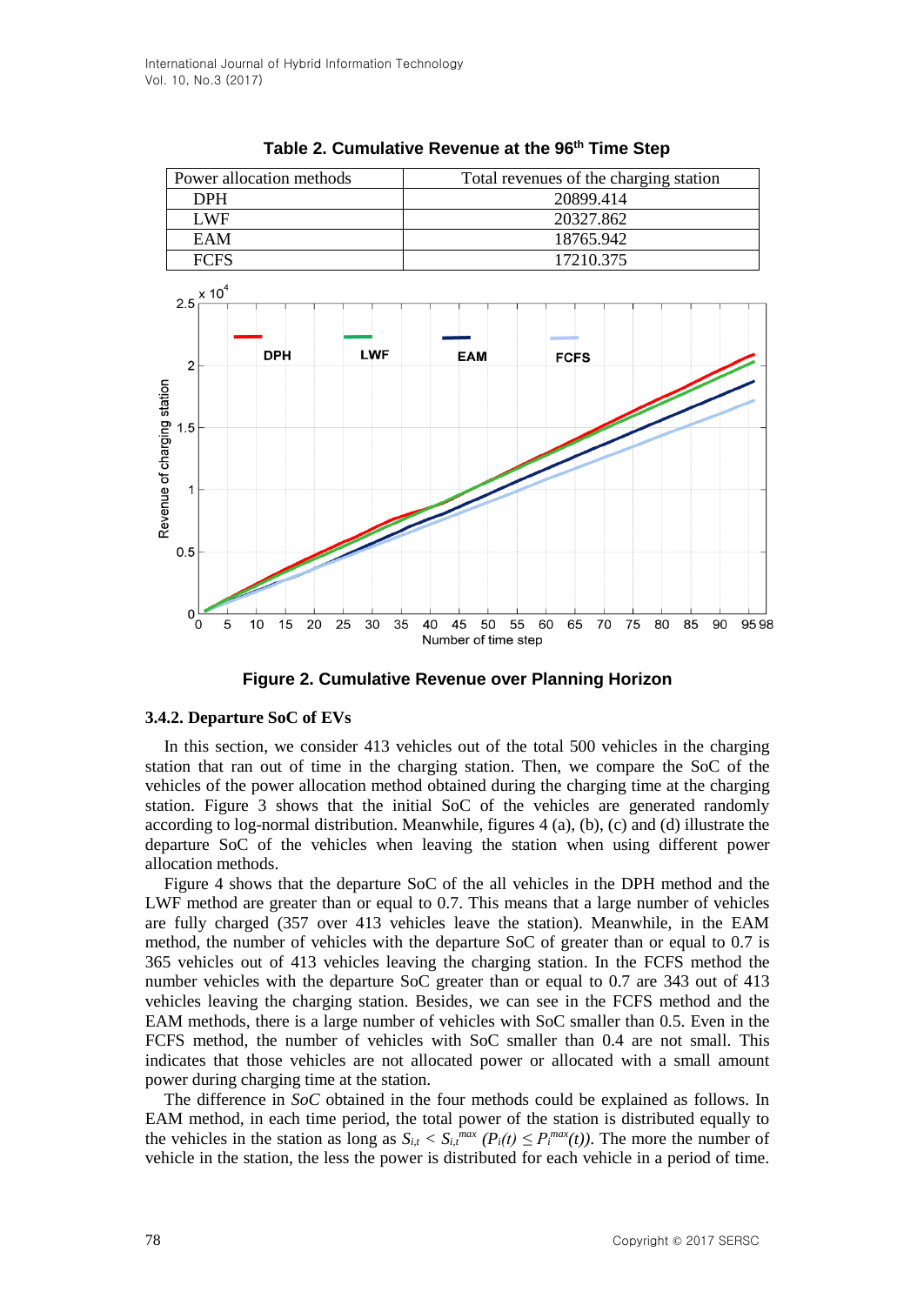

**Table 2. Cumulative Revenue at the 96th Time Step**



#### **3.4.2. Departure SoC of EVs**

In this section, we consider 413 vehicles out of the total 500 vehicles in the charging station that ran out of time in the charging station. Then, we compare the SoC of the vehicles of the power allocation method obtained during the charging time at the charging station. Figure 3 shows that the initial SoC of the vehicles are generated randomly according to log-normal distribution. Meanwhile, figures 4 (a), (b), (c) and (d) illustrate the departure SoC of the vehicles when leaving the station when using different power allocation methods.

Figure 4 shows that the departure SoC of the all vehicles in the DPH method and the LWF method are greater than or equal to 0.7. This means that a large number of vehicles are fully charged (357 over 413 vehicles leave the station). Meanwhile, in the EAM method, the number of vehicles with the departure SoC of greater than or equal to 0.7 is 365 vehicles out of 413 vehicles leaving the charging station. In the FCFS method the number vehicles with the departure SoC greater than or equal to 0.7 are 343 out of 413 vehicles leaving the charging station. Besides, we can see in the FCFS method and the EAM methods, there is a large number of vehicles with SoC smaller than 0.5. Even in the FCFS method, the number of vehicles with SoC smaller than 0.4 are not small. This indicates that those vehicles are not allocated power or allocated with a small amount power during charging time at the station.

The difference in *SoC* obtained in the four methods could be explained as follows. In EAM method, in each time period, the total power of the station is distributed equally to the vehicles in the station as long as  $S_{i,t} < S_{i,t}^{max}(P_i(t) \leq P_i^{max}(t))$ . The more the number of vehicle in the station, the less the power is distributed for each vehicle in a period of time.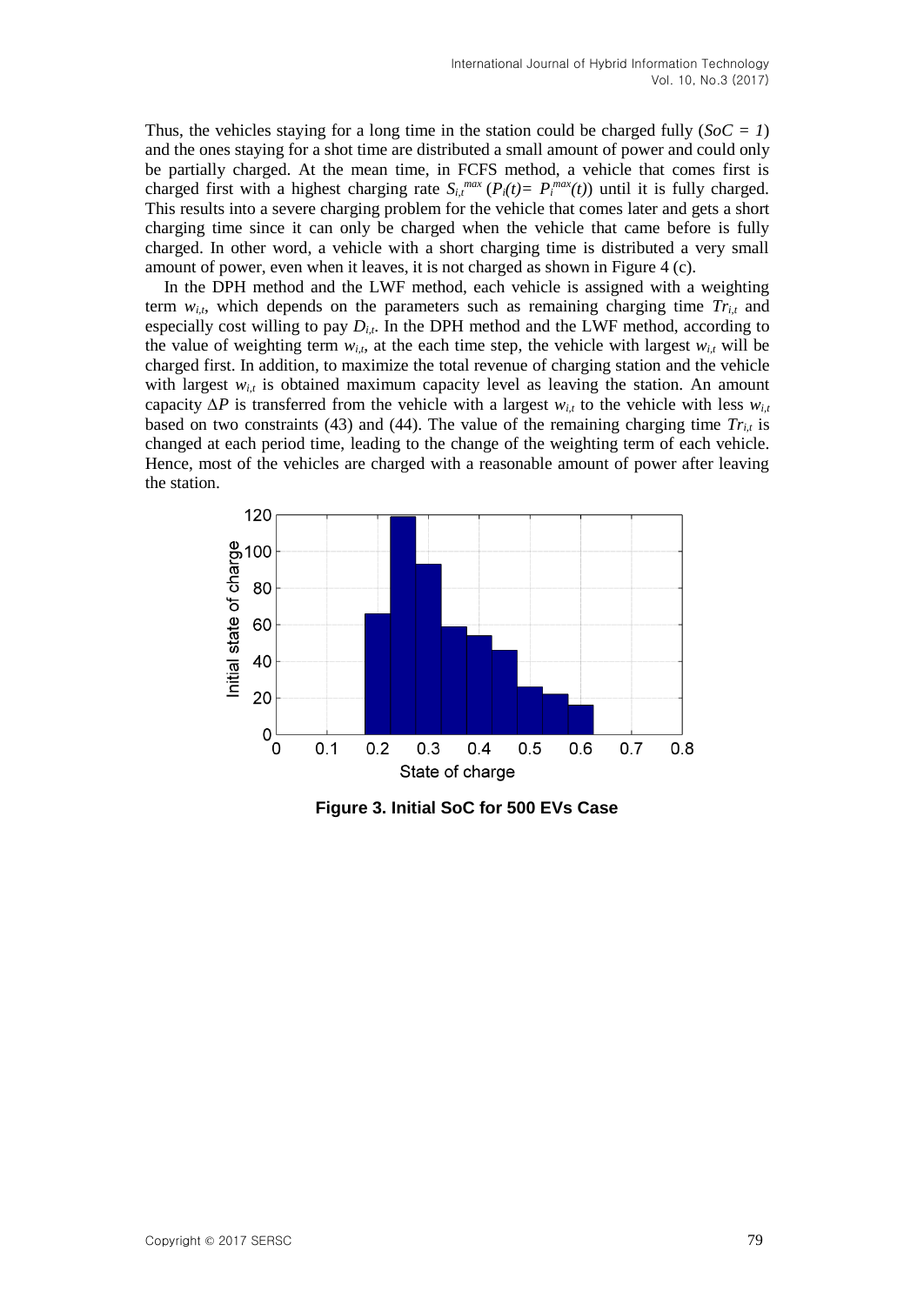Thus, the vehicles staying for a long time in the station could be charged fully  $(SoC = I)$ and the ones staying for a shot time are distributed a small amount of power and could only be partially charged. At the mean time, in FCFS method, a vehicle that comes first is charged first with a highest charging rate  $S_{i,t}^{max}(P_i(t)) = P_i^{max}(t)$  until it is fully charged. This results into a severe charging problem for the vehicle that comes later and gets a short charging time since it can only be charged when the vehicle that came before is fully charged. In other word, a vehicle with a short charging time is distributed a very small amount of power, even when it leaves, it is not charged as shown in Figure 4 (c).

In the DPH method and the LWF method, each vehicle is assigned with a weighting term  $w_{i,t}$ , which depends on the parameters such as remaining charging time  $Tr_{i,t}$  and especially cost willing to pay  $D_{i,t}$ . In the DPH method and the LWF method, according to the value of weighting term  $w_{i,t}$ , at the each time step, the vehicle with largest  $w_{i,t}$  will be charged first. In addition, to maximize the total revenue of charging station and the vehicle with largest  $w_{i,t}$  is obtained maximum capacity level as leaving the station. An amount capacity  $\Delta P$  is transferred from the vehicle with a largest  $w_{i,t}$  to the vehicle with less  $w_{i,t}$ based on two constraints (43) and (44). The value of the remaining charging time  $Tr_{i,t}$  is changed at each period time, leading to the change of the weighting term of each vehicle. Hence, most of the vehicles are charged with a reasonable amount of power after leaving the station.



**Figure 3. Initial SoC for 500 EVs Case**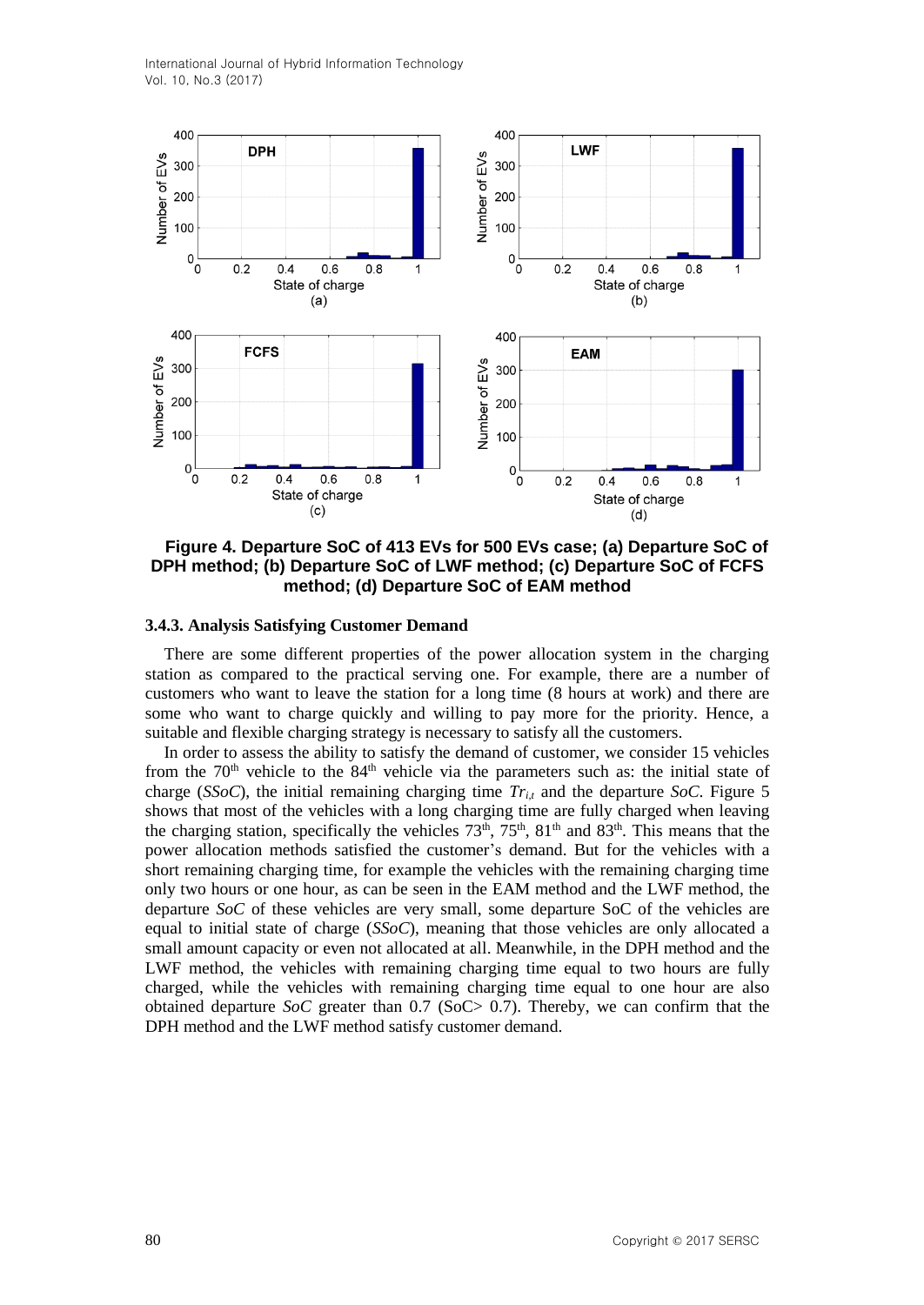

**Figure 4. Departure SoC of 413 EVs for 500 EVs case; (a) Departure SoC of DPH method; (b) Departure SoC of LWF method; (c) Departure SoC of FCFS method; (d) Departure SoC of EAM method**

#### **3.4.3. Analysis Satisfying Customer Demand**

There are some different properties of the power allocation system in the charging station as compared to the practical serving one. For example, there are a number of customers who want to leave the station for a long time (8 hours at work) and there are some who want to charge quickly and willing to pay more for the priority. Hence, a suitable and flexible charging strategy is necessary to satisfy all the customers.

In order to assess the ability to satisfy the demand of customer, we consider 15 vehicles from the  $70<sup>th</sup>$  vehicle to the  $84<sup>th</sup>$  vehicle via the parameters such as: the initial state of charge (*SSoC*), the initial remaining charging time  $Tr_{i,t}$  and the departure *SoC*. Figure 5 shows that most of the vehicles with a long charging time are fully charged when leaving the charging station, specifically the vehicles  $73<sup>th</sup>$ ,  $75<sup>th</sup>$ ,  $81<sup>th</sup>$  and  $83<sup>th</sup>$ . This means that the power allocation methods satisfied the customer's demand. But for the vehicles with a short remaining charging time, for example the vehicles with the remaining charging time only two hours or one hour, as can be seen in the EAM method and the LWF method, the departure *SoC* of these vehicles are very small, some departure SoC of the vehicles are equal to initial state of charge (*SSoC*), meaning that those vehicles are only allocated a small amount capacity or even not allocated at all. Meanwhile, in the DPH method and the LWF method, the vehicles with remaining charging time equal to two hours are fully charged, while the vehicles with remaining charging time equal to one hour are also obtained departure *SoC* greater than 0.7 (SoC> 0.7). Thereby, we can confirm that the DPH method and the LWF method satisfy customer demand.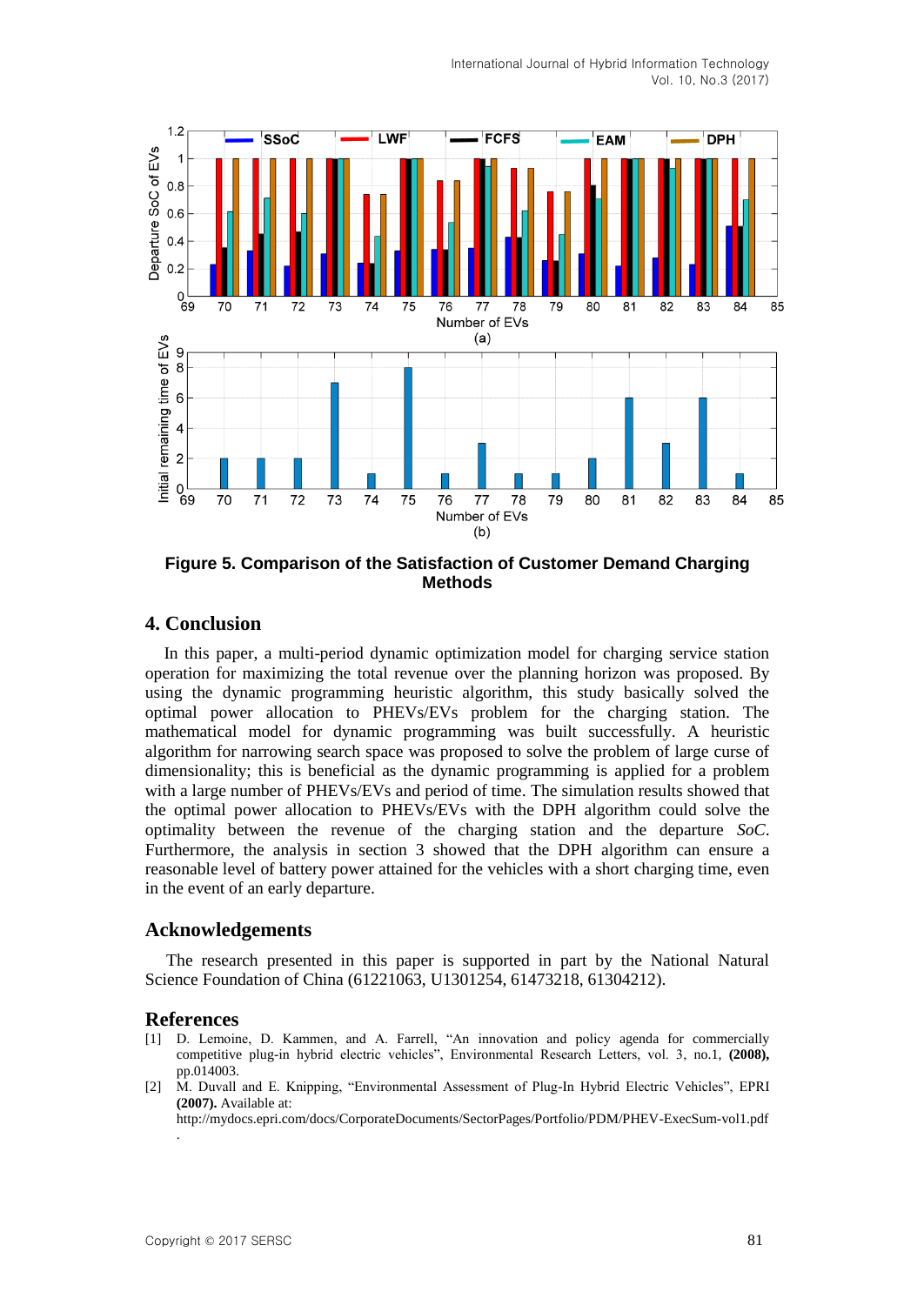

**Figure 5. Comparison of the Satisfaction of Customer Demand Charging Methods**

## **4. Conclusion**

In this paper, a multi-period dynamic optimization model for charging service station operation for maximizing the total revenue over the planning horizon was proposed. By using the dynamic programming heuristic algorithm, this study basically solved the optimal power allocation to PHEVs/EVs problem for the charging station. The mathematical model for dynamic programming was built successfully. A heuristic algorithm for narrowing search space was proposed to solve the problem of large curse of dimensionality; this is beneficial as the dynamic programming is applied for a problem with a large number of PHEVs/EVs and period of time. The simulation results showed that the optimal power allocation to PHEVs/EVs with the DPH algorithm could solve the optimality between the revenue of the charging station and the departure *SoC*. Furthermore, the analysis in section 3 showed that the DPH algorithm can ensure a reasonable level of battery power attained for the vehicles with a short charging time, even in the event of an early departure.

## **Acknowledgements**

The research presented in this paper is supported in part by the National Natural Science Foundation of China (61221063, U1301254, 61473218, 61304212).

## **References**

- [1] D. Lemoine, D. Kammen, and A. Farrell, "An innovation and policy agenda for commercially competitive plug-in hybrid electric vehicles", Environmental Research Letters, vol. 3, no.1, **(2008),**  pp.014003.
- [2] M. Duvall and E. Knipping, "Environmental Assessment of Plug-In Hybrid Electric Vehicles", EPRI **(2007).** Available at:

http://mydocs.epri.com/docs/CorporateDocuments/SectorPages/Portfolio/PDM/PHEV-ExecSum-vol1.pdf .